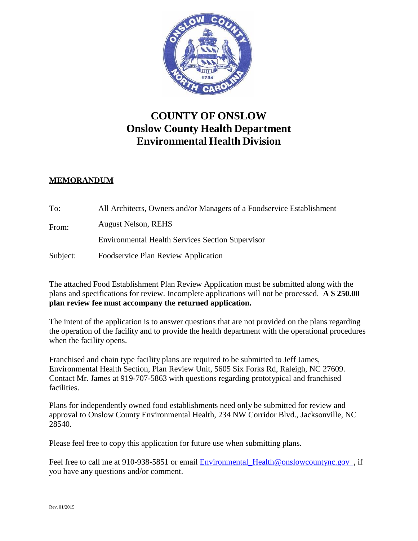

## **COUNTY OF ONSLOW Onslow County Health Department Environmental Health Division**

## **MEMORANDUM**

| To:      | All Architects, Owners and/or Managers of a Foodservice Establishment |
|----------|-----------------------------------------------------------------------|
| From:    | <b>August Nelson, REHS</b>                                            |
|          | <b>Environmental Health Services Section Supervisor</b>               |
| Subject: | <b>Foodservice Plan Review Application</b>                            |

The attached Food Establishment Plan Review Application must be submitted along with the plans and specifications for review. Incomplete applications will not be processed. **A \$ 250.00 plan review fee must accompany the returned application.**

The intent of the application is to answer questions that are not provided on the plans regarding the operation of the facility and to provide the health department with the operational procedures when the facility opens.

Franchised and chain type facility plans are required to be submitted to Jeff James, Environmental Health Section, Plan Review Unit, 5605 Six Forks Rd, Raleigh, NC 27609. Contact Mr. James at 919-707-5863 with questions regarding prototypical and franchised facilities.

Plans for independently owned food establishments need only be submitted for review and approval to Onslow County Environmental Health, 234 NW Corridor Blvd., Jacksonville, NC 28540.

Please feel free to copy this application for future use when submitting plans.

Feel free to call me at 910-938-5851 or email **Environmental Health@onslowcountync.gov**, if you have any questions and/or comment.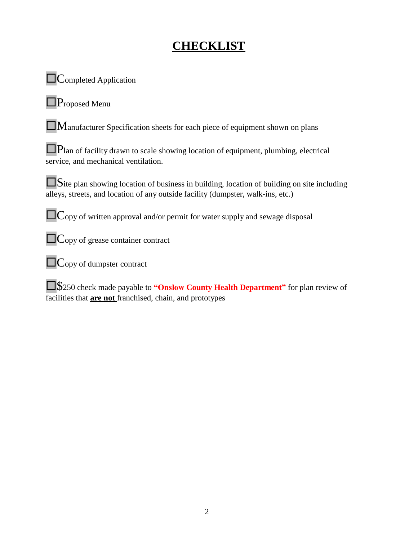# **CHECKLIST**

 $\Box$  Completed Application

Proposed Menu

 $\Box$ Manufacturer Specification sheets for each piece of equipment shown on plans

Plan of facility drawn to scale showing location of equipment, plumbing, electrical service, and mechanical ventilation.

Site plan showing location of business in building, location of building on site including alleys, streets, and location of any outside facility (dumpster, walk-ins, etc.)

**Copy of written approval and/or permit for water supply and sewage disposal** 

**C**opy of grease container contract

**Copy of dumpster contract** 

\$250 check made payable to **"Onslow County Health Department"** for plan review of facilities that **are not** franchised, chain, and prototypes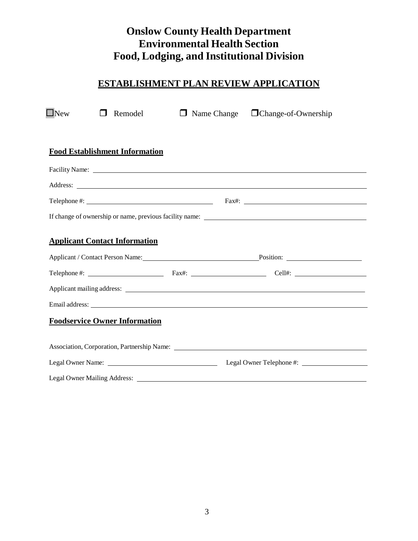## **Onslow County Health Department Environmental Health Section Food, Lodging, and Institutional Division**

## **ESTABLISHMENT PLAN REVIEW APPLICATION**

| $\Box$ New<br>Remodel                                                                                                                                                                                                                                                                                                                        | $\Box$ Name Change $\Box$ Change-of-Ownership |  |
|----------------------------------------------------------------------------------------------------------------------------------------------------------------------------------------------------------------------------------------------------------------------------------------------------------------------------------------------|-----------------------------------------------|--|
|                                                                                                                                                                                                                                                                                                                                              |                                               |  |
| <b>Food Establishment Information</b>                                                                                                                                                                                                                                                                                                        |                                               |  |
|                                                                                                                                                                                                                                                                                                                                              |                                               |  |
| Address: <u>Address:</u> Address: Address: Address: Address: Address: Address: Address: Address: Address: Address: Address: Address: Address: Address: Address: Address: Address: Address: Address: Address: Address: Address: Addr                                                                                                          |                                               |  |
| Telephone #: $\frac{1}{2}$ Fax#: $\frac{1}{2}$ Fax#: $\frac{1}{2}$ Fax#: $\frac{1}{2}$ Fax#: $\frac{1}{2}$ Fax#: $\frac{1}{2}$ Fax#: $\frac{1}{2}$ Fax#: $\frac{1}{2}$ Fax#: $\frac{1}{2}$ Fax#: $\frac{1}{2}$ Fax#: $\frac{1}{2}$ Fax#: $\frac{1}{2}$ Fax#: $\frac{1}{2}$ Fax#:                                                             |                                               |  |
|                                                                                                                                                                                                                                                                                                                                              |                                               |  |
| <b>Applicant Contact Information</b>                                                                                                                                                                                                                                                                                                         |                                               |  |
| Applicant / Contact Person Name: Position: Position: 2001                                                                                                                                                                                                                                                                                    |                                               |  |
| Telephone #: $\qquad \qquad$ $\qquad \qquad$ $\qquad$ $\qquad$ $\qquad$ $\qquad$ $\qquad$ $\qquad$ $\qquad$ $\qquad$ $\qquad$ $\qquad$ $\qquad$ $\qquad$ $\qquad$ $\qquad$ $\qquad$ $\qquad$ $\qquad$ $\qquad$ $\qquad$ $\qquad$ $\qquad$ $\qquad$ $\qquad$ $\qquad$ $\qquad$ $\qquad$ $\qquad$ $\qquad$ $\qquad$ $\qquad$ $\qquad$ $\qquad$ |                                               |  |
|                                                                                                                                                                                                                                                                                                                                              |                                               |  |
| Email address: <u>example and the set of the set of the set of the set of the set of the set of the set of the set of the set of the set of the set of the set of the set of the set of the set of the set of the set of the set</u>                                                                                                         |                                               |  |
| <b>Foodservice Owner Information</b>                                                                                                                                                                                                                                                                                                         |                                               |  |
|                                                                                                                                                                                                                                                                                                                                              |                                               |  |
|                                                                                                                                                                                                                                                                                                                                              |                                               |  |
| Legal Owner Mailing Address:                                                                                                                                                                                                                                                                                                                 |                                               |  |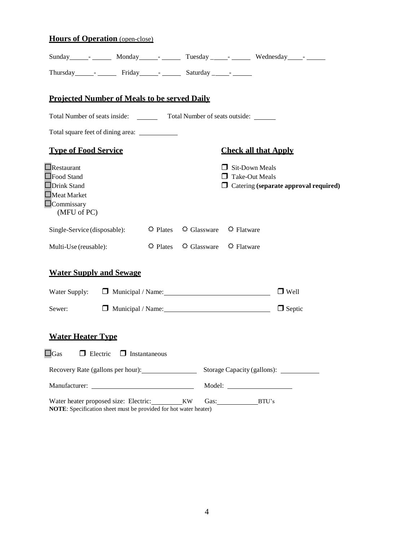## **Hours of Operation** (open-close)

|                                                                                                                         |                                      |                                                                           |                                                | Sunday resolution of Monday resolution of Tuesday resolution and Mednesday resolution of Muslim resolution of Muslim resolution of Muslim resolution of Muslim resolution of Muslim resolution of Muslim resolution of Muslim |
|-------------------------------------------------------------------------------------------------------------------------|--------------------------------------|---------------------------------------------------------------------------|------------------------------------------------|-------------------------------------------------------------------------------------------------------------------------------------------------------------------------------------------------------------------------------|
| Thursday river Friday Friday Saturday 1                                                                                 |                                      |                                                                           |                                                |                                                                                                                                                                                                                               |
| <b>Projected Number of Meals to be served Daily</b>                                                                     |                                      |                                                                           |                                                |                                                                                                                                                                                                                               |
| Total Number of seats inside: Total Number of seats outside: ______                                                     |                                      |                                                                           |                                                |                                                                                                                                                                                                                               |
|                                                                                                                         |                                      |                                                                           |                                                |                                                                                                                                                                                                                               |
| <b>Type of Food Service</b>                                                                                             |                                      |                                                                           | <b>Check all that Apply</b>                    |                                                                                                                                                                                                                               |
| $\Box$ Restaurant<br>$\Box$ Food Stand<br><b>ODrink Stand</b><br>$\Box$ Meat Market<br>$\Box$ Commissary<br>(MFU of PC) |                                      |                                                                           | $\Box$ Sit-Down Meals<br>$\Box$ Take-Out Meals | $\Box$ Catering (separate approval required)                                                                                                                                                                                  |
| Single-Service (disposable):                                                                                            |                                      | $\hat{\varphi}$ Plates $\hat{\varphi}$ Glassware $\hat{\varphi}$ Flatware |                                                |                                                                                                                                                                                                                               |
| Multi-Use (reusable):                                                                                                   |                                      | $\hat{\varphi}$ Plates $\hat{\varphi}$ Glassware $\hat{\varphi}$ Flatware |                                                |                                                                                                                                                                                                                               |
| <b>Water Supply and Sewage</b>                                                                                          |                                      |                                                                           |                                                |                                                                                                                                                                                                                               |
| Water Supply:                                                                                                           |                                      | Municipal / Name: 1997                                                    |                                                | $\Box$ Well                                                                                                                                                                                                                   |
| Sewer:                                                                                                                  |                                      | Municipal / Name: 1997                                                    |                                                | $\Box$ Septic                                                                                                                                                                                                                 |
| <b>Water Heater Type</b>                                                                                                |                                      |                                                                           |                                                |                                                                                                                                                                                                                               |
| $\square_{\rm Gas}$                                                                                                     | $\Box$ Electric $\Box$ Instantaneous |                                                                           |                                                |                                                                                                                                                                                                                               |
| Recovery Rate (gallons per hour):                                                                                       |                                      |                                                                           |                                                | Storage Capacity (gallons):                                                                                                                                                                                                   |
|                                                                                                                         |                                      |                                                                           |                                                |                                                                                                                                                                                                                               |
| Water heater proposed size: Electric: __________KW<br>NOTE: Specification sheet must be provided for hot water heater)  |                                      |                                                                           | Gas: BTU's                                     |                                                                                                                                                                                                                               |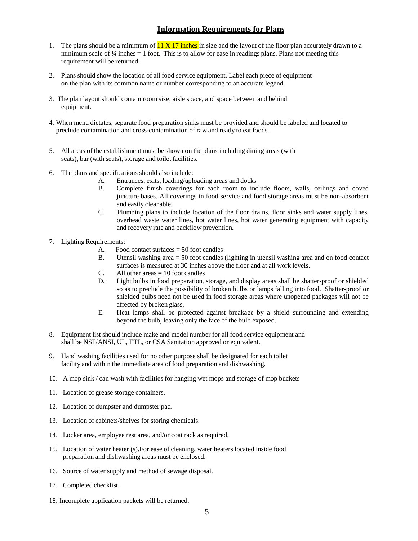## **Information Requirements for Plans**

- 1. The plans should be a minimum of  $11 \times 17$  inches in size and the layout of the floor plan accurately drawn to a minimum scale of  $\frac{1}{4}$  inches  $= 1$  foot. This is to allow for ease in readings plans. Plans not meeting this requirement will be returned.
- 2. Plans should show the location of all food service equipment. Label each piece of equipment on the plan with its common name or number corresponding to an accurate legend.
- 3. The plan layout should contain room size, aisle space, and space between and behind equipment.
- 4. When menu dictates, separate food preparation sinks must be provided and should be labeled and located to preclude contamination and cross-contamination of raw and ready to eat foods.
- 5. All areas of the establishment must be shown on the plans including dining areas (with seats), bar (with seats), storage and toilet facilities.
- 6. The plans and specifications should also include:
	- A. Entrances, exits, loading/uploading areas and docks
	- B. Complete finish coverings for each room to include floors, walls, ceilings and coved juncture bases. All coverings in food service and food storage areas must be non-absorbent and easily cleanable.
	- C. Plumbing plans to include location of the floor drains, floor sinks and water supply lines, overhead waste water lines, hot water lines, hot water generating equipment with capacity and recovery rate and backflow prevention.
- 7. Lighting Requirements:
	- A. Food contact surfaces  $= 50$  foot candles
	- B. Utensil washing area = 50 foot candles (lighting in utensil washing area and on food contact surfaces is measured at 30 inches above the floor and at all work levels.
	- C. All other areas  $= 10$  foot candles
	- D. Light bulbs in food preparation, storage, and display areas shall be shatter-proof or shielded so as to preclude the possibility of broken bulbs or lamps falling into food. Shatter-proof or shielded bulbs need not be used in food storage areas where unopened packages will not be affected by broken glass.
	- E. Heat lamps shall be protected against breakage by a shield surrounding and extending beyond the bulb, leaving only the face of the bulb exposed.
- 8. Equipment list should include make and model number for all food service equipment and shall be NSF/ANSI, UL, ETL, or CSA Sanitation approved or equivalent.
- 9. Hand washing facilities used for no other purpose shall be designated for each toilet facility and within the immediate area of food preparation and dishwashing.
- 10. A mop sink / can wash with facilities for hanging wet mops and storage of mop buckets
- 11. Location of grease storage containers.
- 12. Location of dumpster and dumpster pad.
- 13. Location of cabinets/shelves for storing chemicals.
- 14. Locker area, employee rest area, and/or coat rack as required.
- 15. Location of water heater (s).For ease of cleaning, water heaters located inside food preparation and dishwashing areas must be enclosed.
- 16. Source of water supply and method of sewage disposal.
- 17. Completed checklist.
- 18. Incomplete application packets will be returned.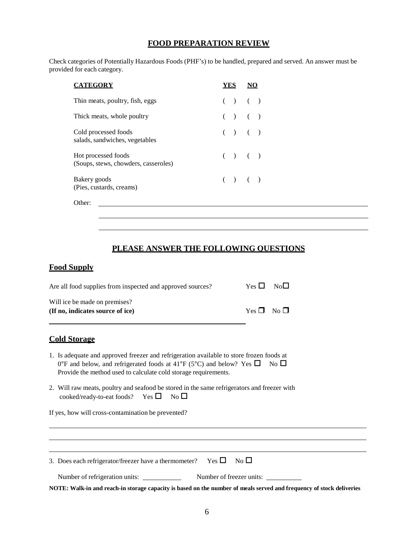#### **FOOD PREPARATION REVIEW**

Check categories of Potentially Hazardous Foods (PHF's) to be handled, prepared and served. An answer must be provided for each category.

| CATEGORY                                                    |           |  |
|-------------------------------------------------------------|-----------|--|
| Thin meats, poultry, fish, eggs                             | ( ) ( )   |  |
| Thick meats, whole poultry                                  | $( ) ( )$ |  |
| Cold processed foods<br>salads, sandwiches, vegetables      | $( ) ( )$ |  |
| Hot processed foods<br>(Soups, stews, chowders, casseroles) | $( ) ( )$ |  |
| Bakery goods<br>(Pies, custards, creams)                    | ( ) ( )   |  |

Other:

#### **PLEASE ANSWER THE FOLLOWING QUESTIONS**

#### **Food Supply**

| Are all food supplies from inspected and approved sources?        | $Yes \Box No \Box$ |  |
|-------------------------------------------------------------------|--------------------|--|
| Will ice be made on premises?<br>(If no, indicates source of ice) | $Yes \Box No \Box$ |  |

#### **Cold Storage**

- 1. Is adequate and approved freezer and refrigeration available to store frozen foods at 0°F and below, and refrigerated foods at 41°F (5°C) and below? Yes  $\Box$  No  $\Box$ Provide the method used to calculate cold storage requirements.
- 2. Will raw meats, poultry and seafood be stored in the same refrigerators and freezer with cooked/ready-to-eat foods? Yes  $\square$  No  $\square$

If yes, how will cross-contamination be prevented?

| 3. Does each refrigerator/freezer have a thermometer? Yes $\square$ No $\square$ |                                                                                                                      |
|----------------------------------------------------------------------------------|----------------------------------------------------------------------------------------------------------------------|
| Number of refrigeration units:                                                   | Number of freezer units:                                                                                             |
|                                                                                  | NOTE: Walk-in and reach-in storage capacity is based on the number of meals served and frequency of stock deliveries |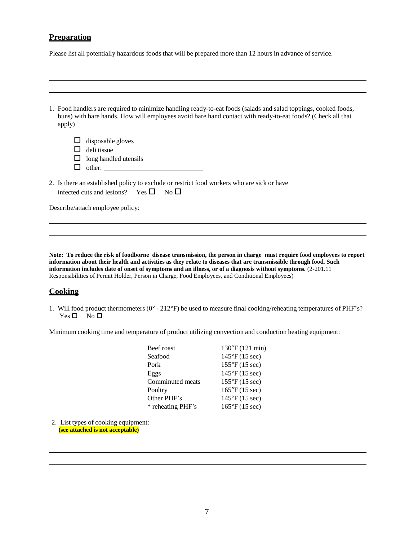## **Preparation**

Please list all potentially hazardous foods that will be prepared more than 12 hours in advance of service.

| 1. Food handlers are required to minimize handling ready-to-eat foods (salads and salad toppings, cooked foods,<br>buns) with bare hands. How will employees avoid bare hand contact with ready-to-eat foods? (Check all that<br>apply) |
|-----------------------------------------------------------------------------------------------------------------------------------------------------------------------------------------------------------------------------------------|
| disposable gloves<br>deli tissue<br>long handled utensils<br>ΙI<br>other:                                                                                                                                                               |
| 2. Is there an established policy to exclude or restrict food workers who are sick or have<br>infected cuts and lesions? Yes $\Box$ No $\Box$                                                                                           |
| Describe/attach employee policy:                                                                                                                                                                                                        |

**Note: To reduce the risk of foodborne disease transmission, the person in charge must require food employees to report information about their health and activities as they relate to diseases that are transmissible through food. Such information includes date of onset of symptoms and an illness, or of a diagnosis without symptoms.** (2-201.11 Responsibilities of Permit Holder, Person in Charge, Food Employees, and Conditional Employees)

#### **Cooking**

1. Will food product thermometers (0° - 212°F) be used to measure final cooking/reheating temperatures of PHF's?  $Yes \Box No \Box$ 

Minimum cooking time and temperature of product utilizing convection and conduction heating equipment:

| Beef roast        | $130^{\circ}$ F (121 min)      |
|-------------------|--------------------------------|
| Seafood           | $145^{\circ}F(15 \text{ sec})$ |
| Pork              | $155^{\circ}F(15 \text{ sec})$ |
| Eggs              | $145^{\circ}F(15 \text{ sec})$ |
| Comminuted meats  | $155^{\circ}F(15 \text{ sec})$ |
| Poultry           | $165^{\circ}F(15 \text{ sec})$ |
| Other PHF's       | $145^{\circ}F(15 \text{ sec})$ |
| * reheating PHF's | $165^{\circ}F(15 \text{ sec})$ |
|                   |                                |

2. List types of cooking equipment: **(see attached is not acceptable)**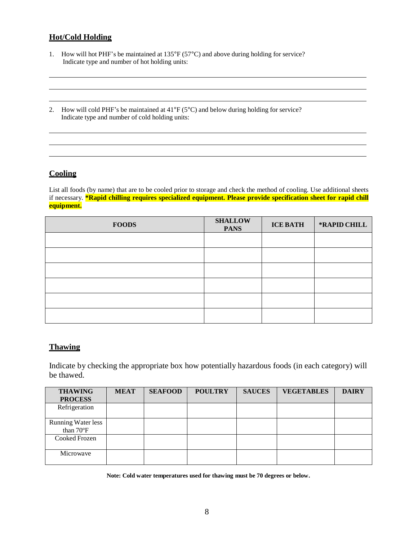## **Hot/Cold Holding**

- 1. How will hot PHF's be maintained at 135°F (57°C) and above during holding for service? Indicate type and number of hot holding units:
- 2. How will cold PHF's be maintained at 41°F (5°C) and below during holding for service? Indicate type and number of cold holding units:

## **Cooling**

List all foods (by name) that are to be cooled prior to storage and check the method of cooling. Use additional sheets if necessary. **\*Rapid chilling requires specialized equipment. Please provide specification sheet for rapid chill equipment.**

| <b>FOODS</b> | <b>SHALLOW</b><br><b>PANS</b> | <b>ICE BATH</b> | *RAPID CHILL |
|--------------|-------------------------------|-----------------|--------------|
|              |                               |                 |              |
|              |                               |                 |              |
|              |                               |                 |              |
|              |                               |                 |              |
|              |                               |                 |              |
|              |                               |                 |              |

#### **Thawing**

Indicate by checking the appropriate box how potentially hazardous foods (in each category) will be thawed.

| <b>THAWING</b>                         | <b>MEAT</b> | <b>SEAFOOD</b> | <b>POULTRY</b> | <b>SAUCES</b> | <b>VEGETABLES</b> | <b>DAIRY</b> |
|----------------------------------------|-------------|----------------|----------------|---------------|-------------------|--------------|
| <b>PROCESS</b>                         |             |                |                |               |                   |              |
| Refrigeration                          |             |                |                |               |                   |              |
| <b>Running Water less</b><br>than 70°F |             |                |                |               |                   |              |
| Cooked Frozen                          |             |                |                |               |                   |              |
| Microwave                              |             |                |                |               |                   |              |

**Note: Cold water temperatures used for thawing must be 70 degrees or below.**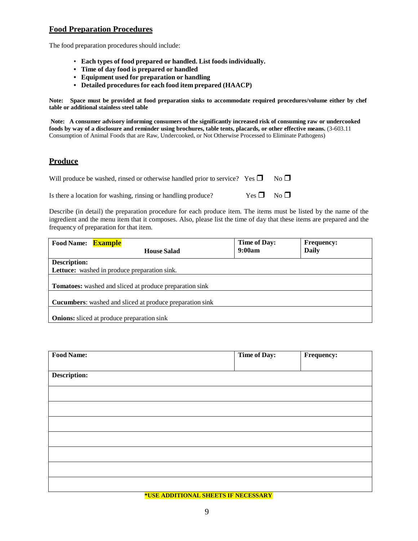## **Food Preparation Procedures**

The food preparation procedures should include:

- **Each types of food prepared or handled. List foods individually.**
- **• Time of day food is prepared or handled**
- **• Equipment used for preparation or handling**
- **• Detailed procedures for each food item prepared (HAACP)**

**Note: Space must be provided at food preparation sinks to accommodate required procedures/volume either by chef table or additional stainless steel table**

**Note: A consumer advisory informing consumers of the significantly increased risk of consuming raw or undercooked foods by way of a disclosure and reminder using brochures, table tents, placards, or other effective means.** (3-603.11 Consumption of Animal Foods that are Raw, Undercooked, or Not Otherwise Processed to Eliminate Pathogens)

#### **Produce**

| Will produce be washed, rinsed or otherwise handled prior to service? Yes $\Box$ |                    | $No \Box$ |
|----------------------------------------------------------------------------------|--------------------|-----------|
| Is there a location for washing, rinsing or handling produce?                    | $Yes \Box No \Box$ |           |

Describe (in detail) the preparation procedure for each produce item. The items must be listed by the name of the ingredient and the menu item that it composes. Also, please list the time of day that these items are prepared and the frequency of preparation for that item.

| Food Name: Example                                |                                                                 | <b>Time of Day:</b> | <b>Frequency:</b> |
|---------------------------------------------------|-----------------------------------------------------------------|---------------------|-------------------|
|                                                   | <b>House Salad</b>                                              | 9:00am              | <b>Daily</b>      |
| <b>Description:</b>                               |                                                                 |                     |                   |
| Lettuce: washed in produce preparation sink.      |                                                                 |                     |                   |
|                                                   | <b>Tomatoes:</b> washed and sliced at produce preparation sink  |                     |                   |
|                                                   | <b>Cucumbers:</b> washed and sliced at produce preparation sink |                     |                   |
| <b>Onions:</b> sliced at produce preparation sink |                                                                 |                     |                   |

| <b>Food Name:</b>   | Time of Day: | Frequency: |
|---------------------|--------------|------------|
|                     |              |            |
| <b>Description:</b> |              |            |
|                     |              |            |
|                     |              |            |
|                     |              |            |
|                     |              |            |
|                     |              |            |
|                     |              |            |
|                     |              |            |

**\*USE ADDITIONAL SHEETS IF NECESSARY**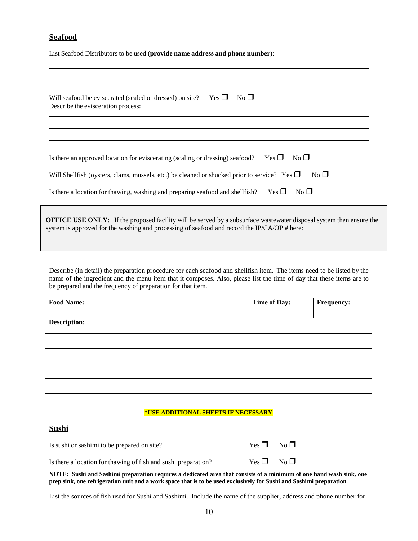## **Seafood**

List Seafood Distributors to be used (**provide name address and phone number**):

| Yes $\Box$<br>$No \Box$<br>Will seafood be eviscerated (scaled or dressed) on site?<br>Describe the evisceration process:                                                                                                  |
|----------------------------------------------------------------------------------------------------------------------------------------------------------------------------------------------------------------------------|
|                                                                                                                                                                                                                            |
| Is there an approved location for eviscerating (scaling or dressing) seafood? Yes $\Box$<br>$No$ $\Box$                                                                                                                    |
| $No \Box$<br>Will Shellfish (oysters, clams, mussels, etc.) be cleaned or shucked prior to service? Yes $\Box$                                                                                                             |
| Is there a location for thawing, washing and preparing seafood and shellfish? Yes $\square$<br>$No$ $\square$                                                                                                              |
| <b>OFFICE USE ONLY:</b> If the proposed facility will be served by a subsurface wastewater disposal system then ensure the<br>system is approved for the washing and processing of seafood and record the IP/CA/OP # here: |

Describe (in detail) the preparation procedure for each seafood and shellfish item. The items need to be listed by the name of the ingredient and the menu item that it composes. Also, please list the time of day that these items are to be prepared and the frequency of preparation for that item.

| <b>Food Name:</b>   | Time of Day: | Frequency: |
|---------------------|--------------|------------|
|                     |              |            |
| <b>Description:</b> |              |            |
|                     |              |            |
|                     |              |            |
|                     |              |            |
|                     |              |            |
|                     |              |            |
|                     |              |            |

#### **\*USE ADDITIONAL SHEETS IF NECESSARY**

#### **Sushi**

| Is sushi or sashimi to be prepared on site?                    | $Yes \Box No \Box$ |  |
|----------------------------------------------------------------|--------------------|--|
| Is there a location for thawing of fish and sushi preparation? | $Yes \Box No \Box$ |  |

NOTE: Sushi and Sashimi preparation requires a dedicated area that consists of a minimum of one hand wash sink, one **prep sink, one refrigeration unit and a work space that is to be used exclusively for Sushi and Sashimi preparation.**

List the sources of fish used for Sushi and Sashimi. Include the name of the supplier, address and phone number for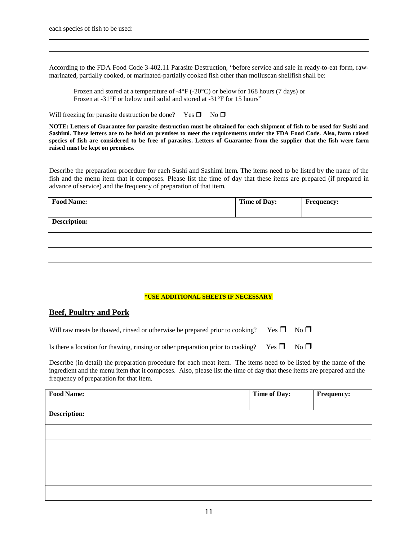According to the FDA Food Code 3-402.11 Parasite Destruction, "before service and sale in ready-to-eat form, rawmarinated, partially cooked, or marinated-partially cooked fish other than molluscan shellfish shall be:

Frozen and stored at a temperature of -4°F (-20°C) or below for 168 hours (7 days) or Frozen at -31°F or below until solid and stored at -31°F for 15 hours"

Will freezing for parasite destruction be done? Yes  $\Box$  No  $\Box$ 

NOTE: Letters of Guarantee for parasite destruction must be obtained for each shipment of fish to be used for Sushi and Sashimi. These letters are to be held on premises to meet the requirements under the FDA Food Code. Also, farm raised species of fish are considered to be free of parasites. Letters of Guarantee from the supplier that the fish were farm **raised must be kept on premises.**

Describe the preparation procedure for each Sushi and Sashimi item. The items need to be listed by the name of the fish and the menu item that it composes. Please list the time of day that these items are prepared (if prepared in advance of service) and the frequency of preparation of that item.

| <b>Food Name:</b>   | <b>Time of Day:</b> | <b>Frequency:</b> |
|---------------------|---------------------|-------------------|
|                     |                     |                   |
| <b>Description:</b> |                     |                   |
|                     |                     |                   |
|                     |                     |                   |
|                     |                     |                   |
|                     |                     |                   |
|                     |                     |                   |
|                     |                     |                   |
|                     |                     |                   |

#### **\*USE ADDITIONAL SHEETS IF NECESSARY**

#### **Beef, Poultry and Pork**

| Will raw meats be thawed, rinsed or otherwise be prepared prior to cooking? Yes $\square$ No $\square$ |  |  |
|--------------------------------------------------------------------------------------------------------|--|--|
|--------------------------------------------------------------------------------------------------------|--|--|

Is there a location for thawing, rinsing or other preparation prior to cooking? Yes  $\Box$  No  $\Box$ 

Describe (in detail) the preparation procedure for each meat item. The items need to be listed by the name of the ingredient and the menu item that it composes. Also, please list the time of day that these items are prepared and the frequency of preparation for that item.

| <b>Food Name:</b>   | Time of Day: | Frequency: |
|---------------------|--------------|------------|
|                     |              |            |
| <b>Description:</b> |              |            |
|                     |              |            |
|                     |              |            |
|                     |              |            |
|                     |              |            |
|                     |              |            |
|                     |              |            |
|                     |              |            |
|                     |              |            |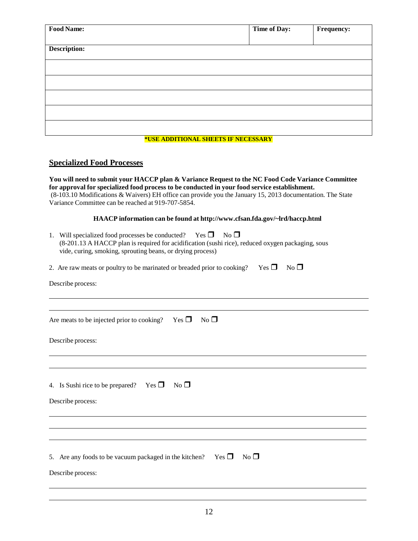| <b>Food Name:</b>                   |  | <b>Time of Day:</b> | Frequency: |  |
|-------------------------------------|--|---------------------|------------|--|
|                                     |  |                     |            |  |
| <b>Description:</b>                 |  |                     |            |  |
|                                     |  |                     |            |  |
|                                     |  |                     |            |  |
|                                     |  |                     |            |  |
|                                     |  |                     |            |  |
|                                     |  |                     |            |  |
| *USE ADDITIONAL SHEETS IF NECESSARY |  |                     |            |  |
|                                     |  |                     |            |  |

#### **Specialized Food Processes**

**You will need to submit your HACCP plan & Variance Request to the NC Food Code Variance Committee for approval for specialized food process to be conducted in your food service establishment.** (8-103.10 Modifications & Waivers) EH office can provide you the January 15, 2013 documentation. The State Variance Committee can be reached at 919-707-5854.

#### **HAACP information can be found at <http://www.cfsan.fda.gov/~lrd/haccp.html>**

| 1. | Will specialized food processes be conducted?<br>$Yes \Box$<br>$No$ $\Box$<br>(8-201.13 A HACCP plan is required for acidification (sushi rice), reduced oxygen packaging, sous<br>vide, curing, smoking, sprouting beans, or drying process) |
|----|-----------------------------------------------------------------------------------------------------------------------------------------------------------------------------------------------------------------------------------------------|
|    | 2. Are raw meats or poultry to be marinated or breaded prior to cooking? Yes $\Box$<br>$No \Box$                                                                                                                                              |
|    | Describe process:                                                                                                                                                                                                                             |
|    |                                                                                                                                                                                                                                               |
|    | $No$ $\square$<br>Are meats to be injected prior to cooking? Yes $\square$                                                                                                                                                                    |
|    | Describe process:                                                                                                                                                                                                                             |
|    |                                                                                                                                                                                                                                               |
|    | 4. Is Sushi rice to be prepared? Yes $\square$ No $\square$                                                                                                                                                                                   |
|    | Describe process:                                                                                                                                                                                                                             |
|    |                                                                                                                                                                                                                                               |
|    |                                                                                                                                                                                                                                               |
|    | No<br>$Yes \Box$<br>5. Are any foods to be vacuum packaged in the kitchen?                                                                                                                                                                    |
|    | Describe process:                                                                                                                                                                                                                             |
|    |                                                                                                                                                                                                                                               |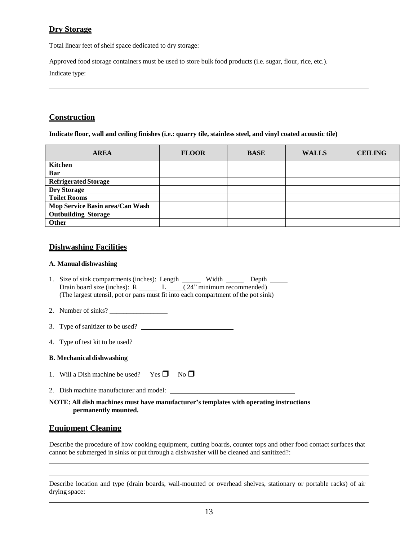## **Dry Storage**

Total linear feet of shelf space dedicated to dry storage:

Approved food storage containers must be used to store bulk food products (i.e. sugar, flour, rice, etc.).

Indicate type:

## **Construction**

**Indicate floor, wall and ceiling finishes (i.e.: quarry tile, stainless steel, and vinyl coated acoustic tile)**

| <b>AREA</b>                     | <b>FLOOR</b> | <b>BASE</b> | <b>WALLS</b> | <b>CEILING</b> |
|---------------------------------|--------------|-------------|--------------|----------------|
| <b>Kitchen</b>                  |              |             |              |                |
| Bar                             |              |             |              |                |
| <b>Refrigerated Storage</b>     |              |             |              |                |
| <b>Dry Storage</b>              |              |             |              |                |
| <b>Toilet Rooms</b>             |              |             |              |                |
| Mop Service Basin area/Can Wash |              |             |              |                |
| <b>Outbuilding Storage</b>      |              |             |              |                |
| <b>Other</b>                    |              |             |              |                |

## **Dishwashing Facilities**

#### **A. Manual dishwashing**

- 1. Size of sink compartments (inches): Length Width Depth Drain board size (inches):  $R_{\sim}$   $L_{\sim}$  (24" minimum recommended) (The largest utensil, pot or pans must fit into each compartment of the pot sink)
- 2. Number of sinks? \_\_\_\_\_\_\_\_\_\_\_\_\_\_\_\_\_
- 3. Type of sanitizer to be used?
- 4. Type of test kit to be used?

#### **B. Mechanical dishwashing**

- 1. Will a Dish machine be used? Yes  $\Box$  No  $\Box$
- 2. Dish machine manufacturer and model:

#### **NOTE: All dish machines must have manufacturer's templates with operating instructions permanently mounted.**

## **Equipment Cleaning**

Describe the procedure of how cooking equipment, cutting boards, counter tops and other food contact surfaces that cannot be submerged in sinks or put through a dishwasher will be cleaned and sanitized?:

Describe location and type (drain boards, wall-mounted or overhead shelves, stationary or portable racks) of air drying space: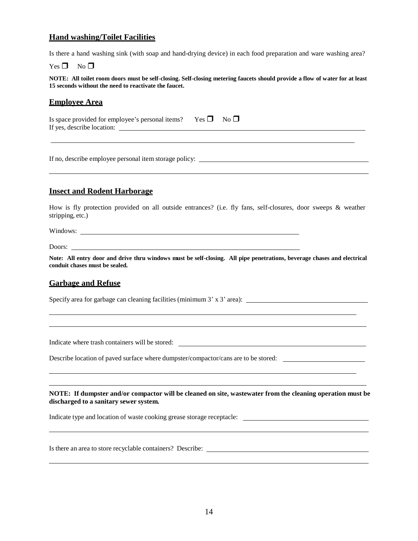## **Hand washing/Toilet Facilities**

Is there a hand washing sink (with soap and hand-drying device) in each food preparation and ware washing area?

 $Yes \Box No \Box$ 

NOTE: All toilet room doors must be self-closing. Self-closing metering faucets should provide a flow of water for at least **15 seconds without the need to reactivate the faucet.**

#### **Employee Area**

| Is space provided for employee's personal items? Yes $\square$ No $\square$ |  |
|-----------------------------------------------------------------------------|--|
| If yes, describe location:                                                  |  |

If no, describe employee personal item storage policy:

#### **Insect and Rodent Harborage**

How is fly protection provided on all outside entrances? (i.e. fly fans, self-closures, door sweeps & weather stripping, etc.)

Windows:

Doors:

Note: All entry door and drive thru windows must be self-closing. All pipe penetrations, beverage chases and electrical **conduit chases must be sealed.**

#### **Garbage and Refuse**

Specify area for garbage can cleaning facilities (minimum 3' x 3' area):

Indicate where trash containers will be stored:

Describe location of paved surface where dumpster/compactor/cans are to be stored:

**NOTE: If dumpster and/or compactor will be cleaned on site, wastewater from the cleaning operation must be discharged to a sanitary sewer system.**

Indicate type and location of waste cooking grease storage receptacle:

Is there an area to store recyclable containers? Describe: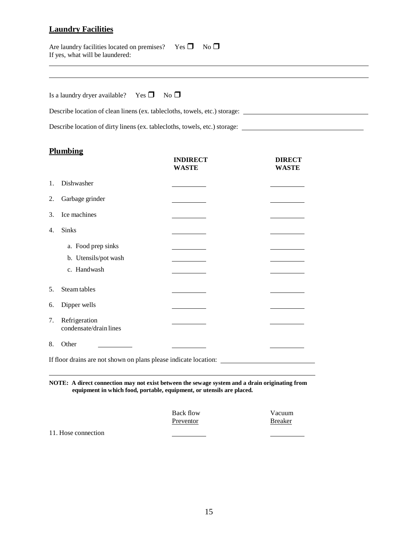## **Laundry Facilities**

| Are laundry facilities located on premises? | $Yes \Box No \Box$ |  |
|---------------------------------------------|--------------------|--|
| If yes, what will be laundered:             |                    |  |

| Is a laundry dryer available? | $Yes \Box No \Box$ |  |
|-------------------------------|--------------------|--|
|-------------------------------|--------------------|--|

Describe location of clean linens (ex. tablecloths, towels, etc.) storage:

Describe location of dirty linens (ex. tablecloths, towels, etc.) storage:

## **Plumbing**

|    |                                                                  | <b>INDIRECT</b><br><b>WASTE</b> | <b>DIRECT</b><br><b>WASTE</b> |
|----|------------------------------------------------------------------|---------------------------------|-------------------------------|
| 1. | Dishwasher                                                       |                                 |                               |
| 2. | Garbage grinder                                                  |                                 |                               |
| 3. | Ice machines                                                     |                                 |                               |
| 4. | Sinks                                                            |                                 |                               |
|    | a. Food prep sinks                                               |                                 |                               |
|    | b. Utensils/pot wash                                             |                                 |                               |
|    | c. Handwash                                                      |                                 |                               |
| 5. | Steam tables                                                     |                                 |                               |
| 6. | Dipper wells                                                     |                                 |                               |
| 7. | Refrigeration<br>condensate/drain lines                          |                                 |                               |
| 8. | Other                                                            |                                 |                               |
|    | If floor drains are not shown on plans please indicate location: |                                 |                               |

**NOTE: A direct connection may not exist between the sewage system and a drain originating from equipment in which food, portable, equipment, or utensils are placed.**

| Back flow | Vacuum         |
|-----------|----------------|
| Preventor | <b>Breaker</b> |

11. Hose connection